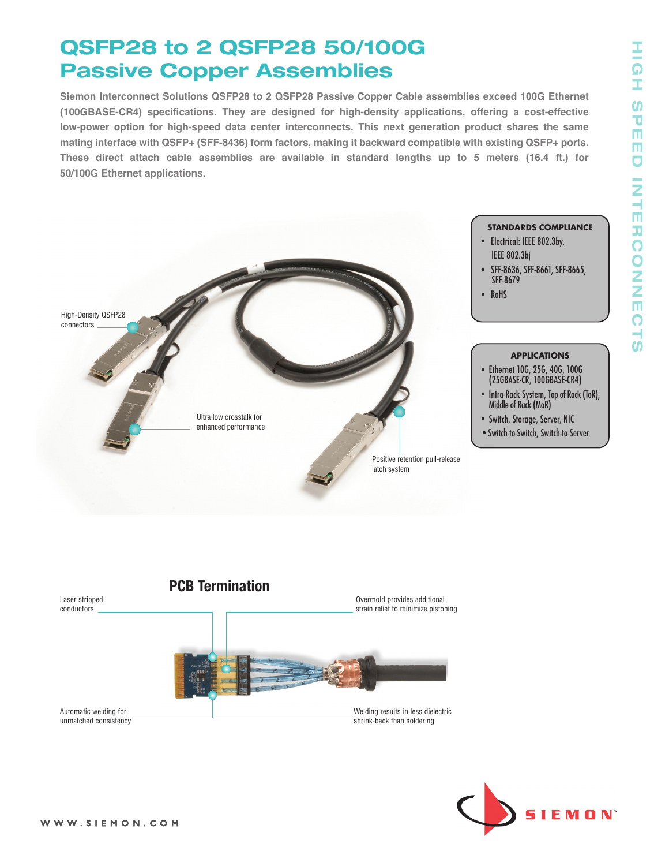## **QSFP28 to 2 QSFP28 50/100G Passive Copper Assemblies**

**Siemon Interconnect Solutions QSFP28 to 2 QSFP28 Passive Copper Cable assemblies exceed 100G Ethernet (100GBASE-CR4) specifications. They are designed for high-density applications, offering a cost-effective low-power option for high-speed data center interconnects. This next generation product shares the same mating interface with QSFP+ (SFF-8436) form factors, making it backward compatible with existing QSFP+ ports. These direct attach cable assemblies are available in standard lengths up to 5 meters (16.4 ft.) for 50/100G Ethernet applications.**